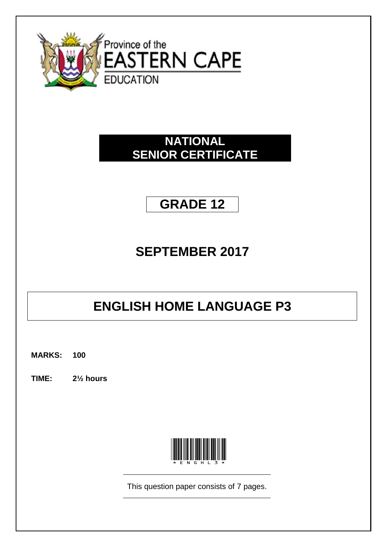

### **NATIONAL SENIOR CERTIFICATE**

## **GRADE 12**

### **SEPTEMBER 2017**

# **ENGLISH HOME LANGUAGE P3**

**MARKS: 100**

**TIME: 2½ hours**



This question paper consists of 7 pages.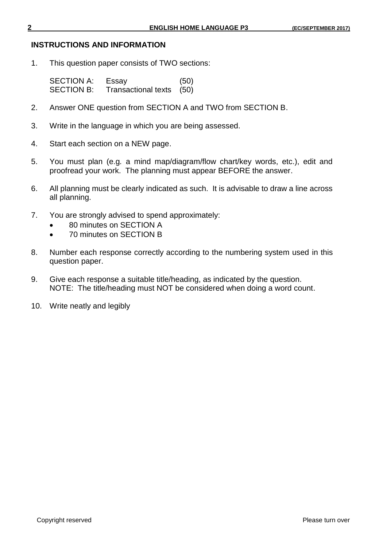#### **INSTRUCTIONS AND INFORMATION**

1. This question paper consists of TWO sections:

SECTION A: Essay (50) SECTION B: Transactional texts (50)

- 2. Answer ONE question from SECTION A and TWO from SECTION B.
- 3. Write in the language in which you are being assessed.
- 4. Start each section on a NEW page.
- 5. You must plan (e.g*.* a mind map/diagram/flow chart/key words, etc.), edit and proofread your work. The planning must appear BEFORE the answer.
- 6. All planning must be clearly indicated as such. It is advisable to draw a line across all planning.
- 7. You are strongly advised to spend approximately:
	- 80 minutes on SECTION A
	- 70 minutes on SECTION B
- 8. Number each response correctly according to the numbering system used in this question paper.
- 9. Give each response a suitable title/heading, as indicated by the question. NOTE: The title/heading must NOT be considered when doing a word count.
- 10. Write neatly and legibly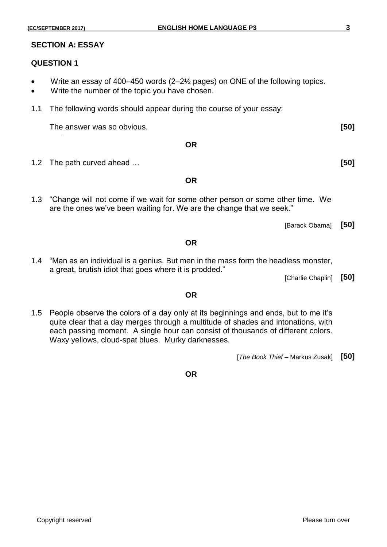#### **SECTION A: ESSAY**

#### **QUESTION 1**

- Write an essay of 400–450 words (2–2½ pages) on ONE of the following topics.
- Write the number of the topic you have chosen.
- 1.1 The following words should appear during the course of your essay:

The answer was so obvious. **[50]**

- **OR**
- 1.2 The path curved ahead … **[50]**

**OR**

- 1.3 "Change will not come if we wait for some other person or some other time. We are the ones we've been waiting for. We are the change that we seek."
- 1.4 "Man as an individual is a genius. But men in the mass form the headless monster, a great, brutish idiot that goes where it is prodded."

**OR**

[Charlie Chaplin] **[50]**

[Barack Obama] **[50]**

#### **OR**

1.5 People observe the colors of a day only at its beginnings and ends, but to me it's quite clear that a day merges through a multitude of shades and intonations, with each passing moment. A single hour can consist of thousands of different colors. Waxy yellows, cloud-spat blues. Murky darknesses.

[*The Book Thief* – Markus Zusak] **[50]**

**OR**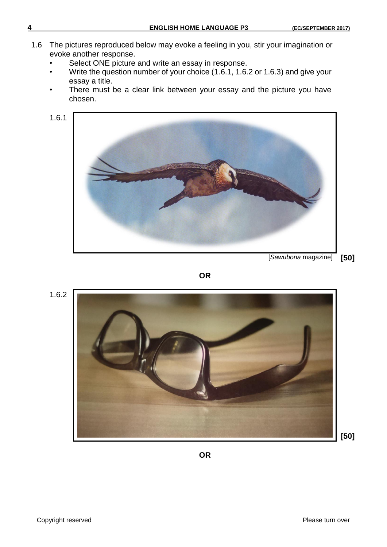- 1.6 The pictures reproduced below may evoke a feeling in you, stir your imagination or evoke another response.
	- Select ONE picture and write an essay in response.
	- Write the question number of your choice (1.6.1, 1.6.2 or 1.6.3) and give your essay a title.
	- There must be a clear link between your essay and the picture you have chosen.

1.6.1



[*Sawubona* magazine] **[50]**



1.6.2



**OR**

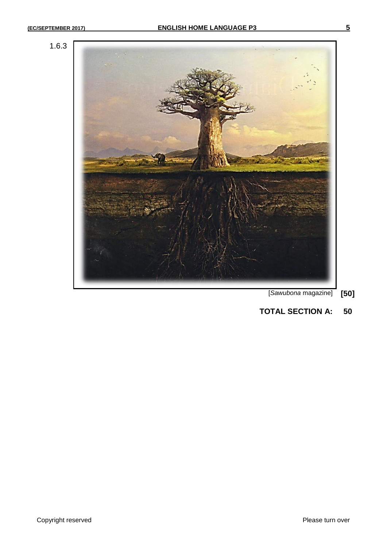

- [*Sawubona* magazine] **[50]**
- **TOTAL SECTION A: 50**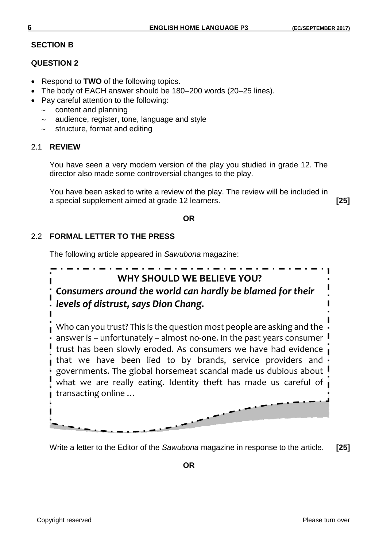#### **SECTION B**

#### **QUESTION 2**

- Respond to **TWO** of the following topics.
- The body of EACH answer should be 180–200 words (20–25 lines).
- Pay careful attention to the following:
	- $\sim$  content and planning
	- $\sim$  audience, register, tone, language and style
	- structure, format and editing

#### 2.1 **REVIEW**

You have seen a very modern version of the play you studied in grade 12. The director also made some controversial changes to the play.

You have been asked to write a review of the play. The review will be included in a special supplement aimed at grade 12 learners. **[25]**

#### **OR**

### 2.2 **FORMAL LETTER TO THE PRESS**

The following article appeared in *Sawubona* magazine:



Write a letter to the Editor of the *Sawubona* magazine in response to the article. **[25]**

**OR**